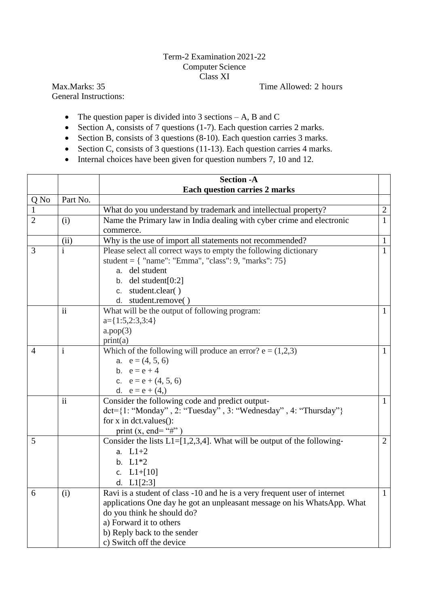## Term-2 Examination 2021-22 Computer Science Class XI

General Instructions:

Max.Marks: 35 Time Allowed: 2 hours

- The question paper is divided into 3 sections  $-A$ , B and C
- $\bullet$  Section A, consists of 7 questions (1-7). Each question carries 2 marks.
- Section B, consists of 3 questions (8-10). Each question carries 3 marks.
- Section C, consists of 3 questions (11-13). Each question carries 4 marks.
- Internal choices have been given for question numbers 7, 10 and 12.

|                |              | <b>Section -A</b>                                                         |                |
|----------------|--------------|---------------------------------------------------------------------------|----------------|
|                |              | <b>Each question carries 2 marks</b>                                      |                |
| Q No           | Part No.     |                                                                           |                |
| -1             |              | What do you understand by trademark and intellectual property?            | $\mathbf{2}$   |
| $\overline{2}$ | (i)          | Name the Primary law in India dealing with cyber crime and electronic     | $\mathbf{1}$   |
|                |              | commerce.                                                                 |                |
|                | (ii)         | Why is the use of import all statements not recommended?                  | $\mathbf{1}$   |
| 3              | $\mathbf{i}$ | Please select all correct ways to empty the following dictionary          | $\mathbf{1}$   |
|                |              | student = { "name": "Emma", "class": $9$ , "marks": 75}                   |                |
|                |              | a. del student                                                            |                |
|                |              | b. del student $[0:2]$                                                    |                |
|                |              | c. student.clear()                                                        |                |
|                |              | d. student.remove()                                                       |                |
|                | ii           | What will be the output of following program:                             | 1              |
|                |              | $a = \{1:5,2:3,3:4\}$                                                     |                |
|                |              | a.pop(3)                                                                  |                |
|                |              | print(a)                                                                  |                |
| 4              | $\mathbf{i}$ | Which of the following will produce an error? $e = (1,2,3)$               | $\mathbf{1}$   |
|                |              | a. $e = (4, 5, 6)$                                                        |                |
|                |              | b. $e = e + 4$                                                            |                |
|                |              | c. $e = e + (4, 5, 6)$                                                    |                |
|                |              | d. $e = e + (4)$                                                          |                |
|                | ii           | Consider the following code and predict output-                           | $\mathbf{1}$   |
|                |              | $\det=$ {1: "Monday", 2: "Tuesday", 3: "Wednesday", 4: "Thursday"}        |                |
|                |              | for $x$ in dct. values():                                                 |                |
|                |              | print $(x, end = "#")$                                                    |                |
| 5              |              | Consider the lists $L1=[1,2,3,4]$ . What will be output of the following- | $\overline{2}$ |
|                |              | a. $L1+2$                                                                 |                |
|                |              | b. $L1*2$                                                                 |                |
|                |              | c. $L1+[10]$                                                              |                |
|                |              | d. $L1[2:3]$                                                              |                |
| 6              | (i)          | Ravi is a student of class -10 and he is a very frequent user of internet | $\mathbf{1}$   |
|                |              | applications One day he got an unpleasant message on his WhatsApp. What   |                |
|                |              | do you think he should do?                                                |                |
|                |              | a) Forward it to others                                                   |                |
|                |              | b) Reply back to the sender                                               |                |
|                |              | c) Switch off the device                                                  |                |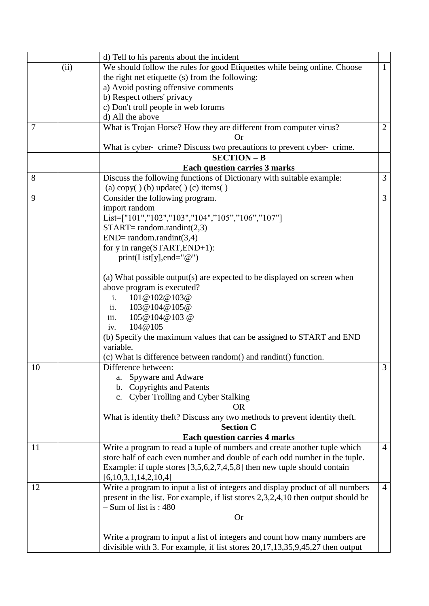|                |      | d) Tell to his parents about the incident                                         |                |
|----------------|------|-----------------------------------------------------------------------------------|----------------|
|                | (ii) | We should follow the rules for good Etiquettes while being online. Choose         | $\mathbf{1}$   |
|                |      | the right net etiquette (s) from the following:                                   |                |
|                |      | a) Avoid posting offensive comments                                               |                |
|                |      | b) Respect others' privacy                                                        |                |
|                |      | c) Don't troll people in web forums                                               |                |
|                |      | d) All the above                                                                  |                |
| $\overline{7}$ |      | What is Trojan Horse? How they are different from computer virus?                 | $\mathbf{2}$   |
|                |      | <b>Or</b>                                                                         |                |
|                |      | What is cyber- crime? Discuss two precautions to prevent cyber- crime.            |                |
|                |      | $SECTION - B$                                                                     |                |
|                |      | <b>Each question carries 3 marks</b>                                              |                |
| 8              |      | Discuss the following functions of Dictionary with suitable example:              | 3              |
|                |      | (a) copy( $)$ (b) update( $)$ (c) items( $)$                                      |                |
| 9              |      | Consider the following program.                                                   | $\overline{3}$ |
|                |      | import random                                                                     |                |
|                |      | List=["101","102","103","104","105","106","107"]                                  |                |
|                |      | $START = random.random(2,3)$                                                      |                |
|                |      | $END = random.random(3,4)$                                                        |                |
|                |      | for y in range(START, END+1):                                                     |                |
|                |      | $print(List[y], end="@")$                                                         |                |
|                |      |                                                                                   |                |
|                |      | (a) What possible output(s) are expected to be displayed on screen when           |                |
|                |      | above program is executed?                                                        |                |
|                |      | 101@102@103@<br>$\mathbf{i}$ .                                                    |                |
|                |      | ii.<br>103@104@105@                                                               |                |
|                |      | iii.<br>105@104@103@                                                              |                |
|                |      | 104@105<br>iv.                                                                    |                |
|                |      | (b) Specify the maximum values that can be assigned to START and END              |                |
|                |      | variable.                                                                         |                |
|                |      | (c) What is difference between random() and randint() function.                   |                |
| 10             |      | Difference between:                                                               | 3              |
|                |      | a. Spyware and Adware                                                             |                |
|                |      | b. Copyrights and Patents                                                         |                |
|                |      | c. Cyber Trolling and Cyber Stalking                                              |                |
|                |      | 0R                                                                                |                |
|                |      | What is identity theft? Discuss any two methods to prevent identity theft.        |                |
|                |      | <b>Section C</b>                                                                  |                |
|                |      | <b>Each question carries 4 marks</b>                                              |                |
| 11             |      | Write a program to read a tuple of numbers and create another tuple which         | $\overline{4}$ |
|                |      | store half of each even number and double of each odd number in the tuple.        |                |
|                |      | Example: if tuple stores $[3,5,6,2,7,4,5,8]$ then new tuple should contain        |                |
|                |      | [6,10,3,1,14,2,10,4]                                                              |                |
| 12             |      | Write a program to input a list of integers and display product of all numbers    | $\overline{4}$ |
|                |      | present in the list. For example, if list stores 2,3,2,4,10 then output should be |                |
|                |      | $-$ Sum of list is : 480                                                          |                |
|                |      | <b>Or</b>                                                                         |                |
|                |      |                                                                                   |                |
|                |      | Write a program to input a list of integers and count how many numbers are        |                |
|                |      | divisible with 3. For example, if list stores 20,17,13,35,9,45,27 then output     |                |